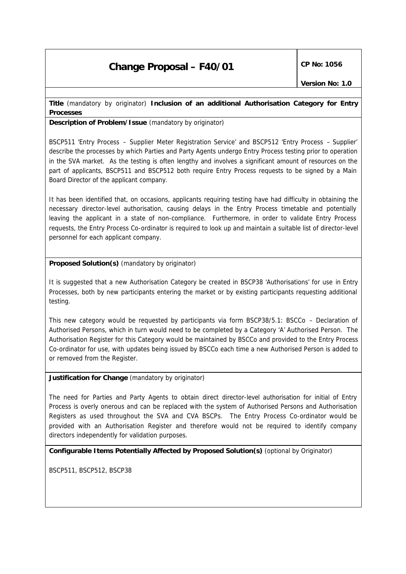# **Change Proposal – F40/01** CP No: 1056

### **Title** *(mandatory by originator)* **Inclusion of an additional Authorisation Category for Entry Processes**

**Description of Problem/Issue** *(mandatory by originator)*

BSCP511 'Entry Process – Supplier Meter Registration Service' and BSCP512 'Entry Process – Supplier' describe the processes by which Parties and Party Agents undergo Entry Process testing prior to operation in the SVA market. As the testing is often lengthy and involves a significant amount of resources on the part of applicants, BSCP511 and BSCP512 both require Entry Process requests to be signed by a Main Board Director of the applicant company.

It has been identified that, on occasions, applicants requiring testing have had difficulty in obtaining the necessary director-level authorisation, causing delays in the Entry Process timetable and potentially leaving the applicant in a state of non-compliance. Furthermore, in order to validate Entry Process requests, the Entry Process Co-ordinator is required to look up and maintain a suitable list of director-level personnel for each applicant company.

### **Proposed Solution(s)** *(mandatory by originator)*

It is suggested that a new Authorisation Category be created in BSCP38 'Authorisations' for use in Entry Processes, both by new participants entering the market or by existing participants requesting additional testing.

This new category would be requested by participants via form BSCP38/5.1: BSCCo – Declaration of Authorised Persons, which in turn would need to be completed by a Category 'A' Authorised Person. The Authorisation Register for this Category would be maintained by BSCCo and provided to the Entry Process Co-ordinator for use, with updates being issued by BSCCo each time a new Authorised Person is added to or removed from the Register.

## **Justification for Change** *(mandatory by originator)*

The need for Parties and Party Agents to obtain direct director-level authorisation for initial of Entry Process is overly onerous and can be replaced with the system of Authorised Persons and Authorisation Registers as used throughout the SVA and CVA BSCPs. The Entry Process Co-ordinator would be provided with an Authorisation Register and therefore would not be required to identify company directors independently for validation purposes.

### **Configurable Items Potentially Affected by Proposed Solution(s)** *(optional by Originator)*

BSCP511, BSCP512, BSCP38